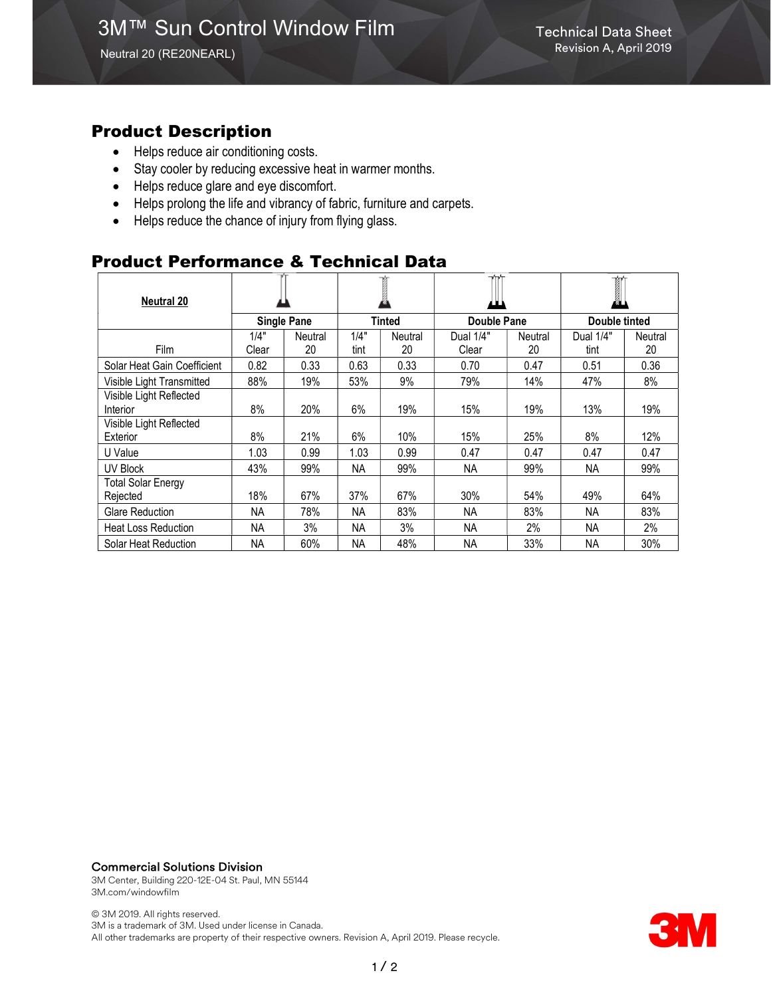### Product Description

- Helps reduce air conditioning costs.
- Stay cooler by reducing excessive heat in warmer months.
- Helps reduce glare and eye discomfort.
- Helps prolong the life and vibrancy of fabric, furniture and carpets.
- Helps reduce the chance of injury from flying glass.

## Product Performance & Technical Data

| <b>Neutral 20</b>                     |                    |         |        |         |                    |         | <b>前</b><br>Ø. |                |
|---------------------------------------|--------------------|---------|--------|---------|--------------------|---------|----------------|----------------|
|                                       | <b>Single Pane</b> |         | Tinted |         | <b>Double Pane</b> |         | Double tinted  |                |
|                                       | 1/4"               | Neutral | 1/4"   | Neutral | Dual 1/4"          | Neutral | Dual 1/4"      | <b>Neutral</b> |
| Film                                  | Clear              | 20      | tint   | 20      | Clear              | 20      | tint           | 20             |
| Solar Heat Gain Coefficient           | 0.82               | 0.33    | 0.63   | 0.33    | 0.70               | 0.47    | 0.51           | 0.36           |
| Visible Light Transmitted             | 88%                | 19%     | 53%    | 9%      | 79%                | 14%     | 47%            | 8%             |
| Visible Light Reflected<br>Interior   | 8%                 | 20%     | 6%     | 19%     | 15%                | 19%     | 13%            | 19%            |
| Visible Light Reflected<br>Exterior   | 8%                 | 21%     | 6%     | 10%     | 15%                | 25%     | 8%             | 12%            |
| U Value                               | 1.03               | 0.99    | 1.03   | 0.99    | 0.47               | 0.47    | 0.47           | 0.47           |
| <b>UV Block</b>                       | 43%                | 99%     | NA     | 99%     | <b>NA</b>          | 99%     | <b>NA</b>      | 99%            |
| <b>Total Solar Energy</b><br>Rejected | 18%                | 67%     | 37%    | 67%     | 30%                | 54%     | 49%            | 64%            |
| <b>Glare Reduction</b>                | <b>NA</b>          | 78%     | NА     | 83%     | <b>NA</b>          | 83%     | <b>NA</b>      | 83%            |
| <b>Heat Loss Reduction</b>            | NА                 | 3%      | NA.    | 3%      | <b>NA</b>          | 2%      | <b>NA</b>      | 2%             |
| Solar Heat Reduction                  | <b>NA</b>          | 60%     | NА     | 48%     | <b>NA</b>          | 33%     | <b>NA</b>      | 30%            |

#### Commercial Solutions Division

3M Center, Building 220-12E-04 St. Paul, MN 55144 3M.com/windowfilm

© 3M 2019. All rights reserved. 3M is a trademark of 3M. Used under license in Canada. All other trademarks are property of their respective owners. Revision A, April 2019. Please recycle.